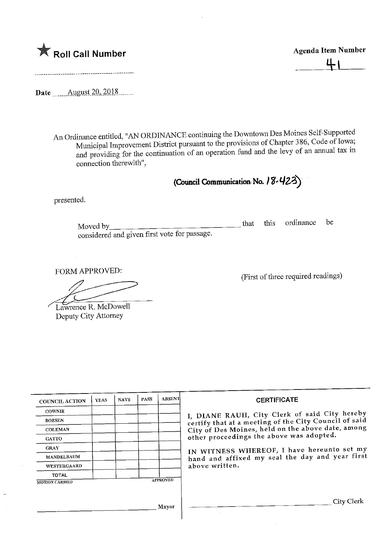

Agenda Item Number JtU-

Date <u>.......August 20, 2018</u>

An Ordinance entitled, "AN ORDINANCE continuing the Downtown Des Moines Self-Supported<br>Municipal Improvement District pursuant to the provisions of Chapter 386, Code of Iowa;  $\mu$ micipal Improvement District pursuant to the provision  $\frac{1}{2}$  of  $\frac{1}{2}$  of  $\frac{1}{2}$  are applied that  $\frac{1}{2}$  in d providing for the continuation of an operation rule and the levy of an connection therewith",

(Council Communication No. 18-423)

presented.

loved by $\_$ considered and given first vote for passage.  $\alpha$   $\alpha$   $\beta$   $\beta$ 

FORM APPROVED:

Lawrence R. McDowell Deputy City Attorney

(First of three required readings)

| <b>COUNCIL ACTION</b> | YEAS | <b>NAYS</b> | <b>PASS</b>     | <b>ABSENT</b> |  |
|-----------------------|------|-------------|-----------------|---------------|--|
| <b>COWNIE</b>         |      |             |                 |               |  |
| <b>BOESEN</b>         |      |             |                 |               |  |
| <b>COLEMAN</b>        |      |             |                 |               |  |
| <b>GATTO</b>          |      |             |                 |               |  |
| <b>GRAY</b>           |      |             |                 |               |  |
| <b>MANDELBAUM</b>     |      |             |                 |               |  |
| WESTERGAARD           |      |             |                 |               |  |
| <b>TOTAL</b>          |      |             |                 |               |  |
| <b>MOTION CARRIED</b> |      |             | <b>APPROVED</b> |               |  |

I, DIANE RAUH, City Clerk of said City hereby<br>certify that at a meeting of the City Council of said City of Des Moines, held on the above date, among City of Des Moines, held on the above  $\frac{1}{2}$  and  $\frac{1}{2}$ other proceedings the above was adopted.

 $\mu$  WITNESS WHEREOF, I have  $\mu$ ----hand and affixed my seal the day and year first above written.

} layer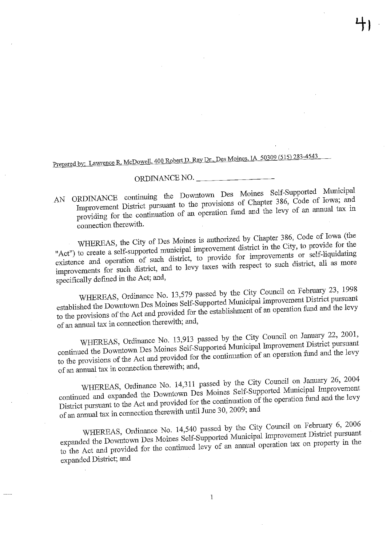Prepared by: Lawrence R. McDowell, 400 Robert D. Ray Dr., Des Moines, IA 50309 (515) 283-4543

ORDINANCE NO. Improvement District pursuant to the provisions of Chapter 386, Code of Iowa; and In the provision of  $\alpha$  operation fund and the levy of an annual tax in  $\sum_{i=1}^{n}$ 

connection therewith.<br>WHEREAS, the City of Des Moines is authorized by Chapter 386, Code of Iowa (the "Act") to create a self-supported municipal improvement district in the City, to provide for the existence and operation of such district, to provide for improvements or self-liquidating stence and operation of such district. provements for such distinct, and to be a subset of the such as more to such as more to such as more to such as more to such as more than  $\alpha$ 

specifically defined in the Act; and,<br>WHEREAS, Ordinance No. 13,579 passed by the City Council on February 23, 1998 established the Downtown Des Moines Self-Supported Municipal Improvement District pursuant ablished the Downtown  $\mathcal{L}$  and provided for the establishment of an operation fund and the levy  $\frac{1}{2}$  the provisions of the establishment of the establishment of  $\frac{1}{2}$  and the levy stablishment of  $\frac{1}{2}$  and  $\frac{1}{2}$ 

of an annual tax in connection therewith; and,<br>WHEREAS, Ordinance No. 13,913 passed by the City Council on January 22, 2001, continued the Downtown Des Moines Self-Supported Municipal Improvement District pursuant municipal the Downtown  $\mathcal{L}$  is  $\mathcal{L}$  and provided for the continuation of an operation fund and the levy the provisions of the  $\lambda$  can be contributed for the contribution of an operation fund and the level and the level and the level and the level and the level and the level and the level and the level and the level and the

of an annual tax in connection therewith; and,<br>WHEREAS, Ordinance No. 14,311 passed by the City Council on January 26, 2004 continued and expanded the Downtown Des Moines Self-Supported Municipal Improvement primued and expanded the B share  $\sim$ district pursual to the  $\alpha$  see the provided in the  $\alpha$  and the continuation the operation fund and the level and the level of the level of the level of the level of the level of the level of the level of the level of t

of an annual tax in connection therewith until June 30, 2009; and<br>WHEREAS, Ordinance No. 14,540 passed by the City Council on February 6, 2006 expanded the Downtown Des Moines Self-Supported Municipal Improvement District pursuant  $\frac{1}{2}$  and  $\frac{1}{2}$  and  $\frac{1}{2}$  and  $\frac{1}{2}$  and  $\frac{1}{2}$  and  $\frac{1}{2}$  and  $\frac{1}{2}$  and  $\frac{1}{2}$  and  $\frac{1}{2}$  and  $\frac{1}{2}$  and  $\frac{1}{2}$  and  $\frac{1}{2}$  and  $\frac{1}{2}$  are the continued levy of an annual operati  $\sigma$  the Act and provided for the continued  $\sigma$ expanded District; and

 $\mathbf{1}$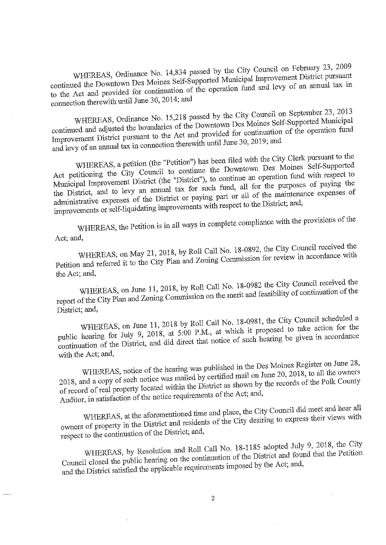WHEREAS, Ordinance No. 14,834 passed by the City Council on February 23, 2009<br>continued the Downtown Des Moines Self-Supported Municipal Improvement District pursuant furthermore  $\frac{d}{dx}$  is continuation of the operation fund and levy of an annual tax in to fhe Act and provided for continuation of the operation fund and levy of an annual tax m

connection therewith until June 30, 2014; and<br>WHEREAS, Ordinance No. 15,218 passed by the City Council on September 23, 2013 continued and adjusted the boundaries of the Downtown Des Moines Self-Supported Municipal mused and adjusted the boundaries of the boundaries of the Domines Self-Supported Museum Division Self-Supported Mm In provement  $D_{\text{in}}$  and  $D_{\text{out}}$  in connection therewith until June 30, 2019; and and levy of an annual tax in connection therewith until June 30, 2019; and<br>WHEREAS, a petition (the "Petition") has been filed with the City Clerk pursuant to the

Act petitioning the City Council to continue the Downtown Des Moines Self-Supported Municipal Improvement District (the "District"), to continue an operation fund with respect to the District, and to levy an annual tax for such fund, all for the purposes of paying the administrative expenses of the District or paying part or all of the maintenance expenses of  $\alpha$  and  $\alpha$  the District or  $\alpha$  is the main part of the paying paying part of the District; and,  $\frac{1}{\sqrt{2}}$  improvements or self-liquidation in  $\frac{1}{\sqrt{2}}$ 

WHEREAS, the Petition is in all ways m complete compliance with the provisions of the

Act; and,<br>WHEREAS, on May 21, 2018, by Roll Call No. 18-0892, the City Council received the  $W_{\text{H}}$  21, 2018,  $W_{\text{H}}$  and  $W_{\text{H}}$  and  $W_{\text{H}}$  and  $W_{\text{H}}$  Commission for review in accordance with Petition and referred it to the City Plan and Zoning Commission for review in accordance with

the Act; and,<br>WHEREAS, on June 11, 2018, by Roll Call No. 18-0982 the City Council received the  $W_{\text{H}}(x)$ , on June 11,  $\frac{1}{2}$  commission on the merit and feasibility of continuation of the  $\frac{1}{201}$  of the City Plan and  $\frac{1}{201}$ 

District; and,<br>WHEREAS, on June 11, 2018 by Roll Call No. 18-0981, the City Council scheduled a public hearing for July 9, 2018, at 5:00 P.M., at which it proposed to take action for the put hearing for  $J_{\text{u},j}$  9, 2018, and  $\chi$  of the state action for the proposed to the proposed to the proposed to the proposed to the proposed to the proposed to the proposed to the proposed to the proposed to the pro minuation- of the District, and direct that notice of such hearing be given in accordance of such hearing be given in accordance of such hearing be given in accordance of such hearing be given in accordance of the such hea

with the Act; and,<br>WHEREAS, notice of the hearing was published in the Des Moines Register on June 28, 2018, and a copy of such notice was mailed by certified mail on June 20, 2018, to all the owners  $218$ , and a copy of such a context notice within the District as shown by the records of the POIR COULTY record of real property series requirements of the Act; and, Auditor, in satisfaction of the notice requirements of the Act; and,<br>WHEREAS, at the aforementioned time and place, the City Council did meet and hear all

WHEREAS, at the Digitial and residents of the City desiring to express their views with where  $\sigma$  property m the  $\sigma$ <sup>s</sup> the District and  $\sigma$ 

respect to the continuation of the District; and,<br>WHEREAS, by Resolution and Roll Call No. 18-1185 adopted July 9, 2018, the City WHEREAS, by Resolution  $\alpha$  and the continuation of the District and found that the Petrupii Council closed the public hearing on the public on the public on the Act and  $\epsilon$ . and the District satisfied the applicable requirements imposed by the Act; and,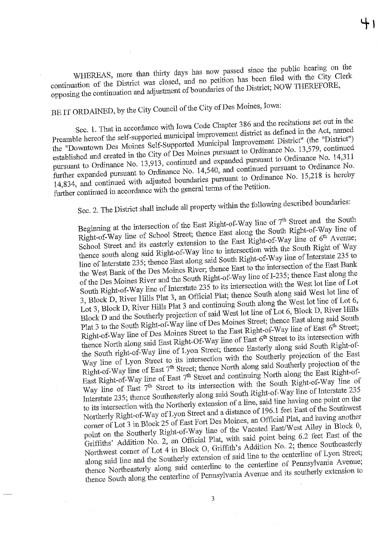WHEREAS, more than thirty days has now passed since the public hearing on the continuation of the District was closed, and no petition has been filed with the City Clerk nuation of the District was close the boundaries of the District; NOW THEREFURE, opposition to the continuation and adjustaires of the District; NOW THEREFORE, NOW THEREFORE, NOW THEREFORE, N

BE IT ORDAINED, by the City Council of the City of Des Moines, Iowa:<br>Sec. 1. That in accordance with Iowa Code Chapter 386 and the recitations set out in the Preamble hereof the self-supported municipal improvement district as defined in the Act, named the "Downtown Des Moines Self-Supported Municipal Improvement District" (the "District") established and created in the City of Des Moines pursuant to Ordinance No. 13,579, continued pursuant to Ordinance No. 13,913, continued and expanded pursuant to Ordinance No. 14,311 further expanded pursuant to Ordinance No. 14,540, and continued pursuant to Ordinance No. fuer expanded pursuant to Ordinance No.  $15,218$  is network  $1.34$ , and continued with  $2.3$  is  $\frac{1}{2}$  is a secondaries with the general terms of the Petition. further continued in accordance with the general terms of the Petition.<br>Sec. 2. The District shall include all property within the following described boundaries:

Beginning at the intersection of the East Right-of-Way line of  $7<sup>th</sup>$  Street and the South Right-of-Way line of School Street; thence East along the South Right-of-Way line of School Street and its easterly extension to the East Right-of-Way line of  $6^{th}$  Avenue; thence south along said Right-of-Way line to intersection with the South Right of Way line of Interstate 235; thence East along said South Right-of-Way line of Interstate 235 to the West Bank of the Des Moines River; thence East to the intersection of the East Bank of the Des Moines River and the South Right-of-Way line of I-235; thence East along the South Right-of-Way line of Interstate  $235$  to its intersection with the West lot line of Lot 3, Block D, River Hills Plat 3, an Official Plat; thence South along said West lot line of Lot 3, Block D, River Hills Plat 3 and continuing South along the West lot line of Lot 6, Block D and the Southerly projection of said West lot line of Lot 6, Block D, River Hills Plat 3 to the South Right-of-Way line of Des Moines Street; thence East along said South Right-of-Way line of Des Moines Street to the East Right-of-Way line of East 6<sup>th</sup> Street; thence North along said East Right-Of-Way line of East 6<sup>th</sup> Street to its intersection with the South right-of-Way line of Lyon Street; thence Easterly along said South Right-of-Way line of Lyon Street to its intersection with the Southerly projection of the East Right-of-Way line of East  $7<sup>th</sup>$  Street; thence North along said Southerly projection of the East Right-of-Way line of East  $7<sup>th</sup>$  Street and continuing North along the East Right-of-Way line of East 7<sup>th</sup> Street to its intersection with the South Right-of-Way line of Interstate 235; thence Southeasterly along said South Right-of-Way line of Interstate 235 to its intersection with the Northerly extension of a line, said line having one point on the Northerly Right-of-Way of Lyon Street and a distance of 196.1 feet East of the Southwest corner of Lot 3 in Block 25 of East Fort Des Moines, an Official Plat, and having another point on the Southerly Right-of-Way line of the Vacated East/West Alley in Block 0, Griffiths' Addition No. 2, an Official Plat, with said point being 6.2 feet East of the Northwest corner of Lot 4 in Block O, Griffith's Addition No. 2, thence Southeasterly along said line and the Southerly extension of said line to the centerline of Lyon Street; thence Northeasterly along said centerline to the centerline of Pennsylvania Avenue;  $t_{\text{inter}}$  thence the centerline of Pennsylvania Avenue and its southerly extension to thence South along the centerline of Pennsylvania Avenue and its southerly extension to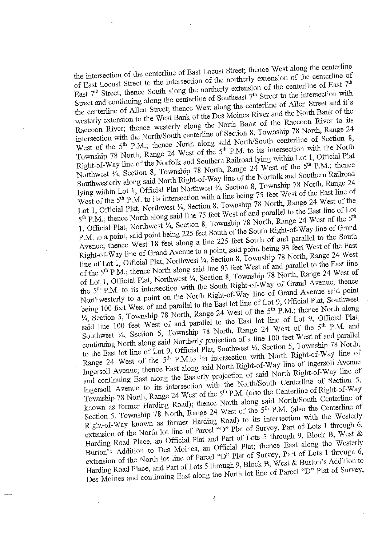the intersection of the centerline of East Locust Street; thence West along the centerline of East Locust Street to the intersection of the northerly extension of the centerline of East  $7<sup>th</sup>$  Street; thence South along the northerly extension of the centerline of East  $7<sup>th</sup>$ Street and continuing along the centerline of Southeast  $7<sup>th</sup>$  Street to the intersection with the centerline of Allen Street; thence West along the centerline of Allen Street and it's westerly extension to the West Bank of the Des Moines River and the North Bank of the Raccoon River; thence westerly along the North Bank of the Raccoon River to its intersection with the North/South centerline of Section 8, Township 78 North, Range 24 West of the 5<sup>th</sup> P.M.; thence North along said North/South centerline of Section 8, Township 78 North, Range 24 West of the 5<sup>th</sup> P.M. to its intersection with the North Right-of-Way line of the Norfolk and Southern Railroad lying within Lot 1, Official Plat Northwest  $\frac{1}{4}$ , Section 8, Township 78 North, Range 24 West of the 5<sup>th p</sup>.M.; thence Southwesterly along said North Right-of-Way line of the Norfolk and Southern Railroad lying within Lot 1, Official Plat Northwest 1/4, Section 8, Township 78 North, Range 24 West of the 5<sup>th</sup> P.M. to its intersection with a line being 75 feet West of the East line of Lot 1, Official Plat, Northwest  $\frac{1}{4}$ , Section 8, Township 78 North, Range 24 West of the 5<sup>th</sup> P.M.; thence North along said line 75 feet West of and parallel to the East line of Lot 1, Official Plat, Northwest  $\frac{1}{4}$ , Section 8, Township 78 North, Range 24 West of the 5<sup>th</sup> P.M. to a point, said point being 225 feet South of the South Right-of-Way line of Grand Avenue; thence West 18 feet along a line 225 feet South of and parallel to the South Right-of-Way line of Grand Avenue to a point, said point being 93 feet West of the East line of Lot 1, Official Plat, Northwest  $\frac{1}{4}$ , Section 8, Township 78 North, Range 24 West of the 5<sup>th</sup> P.M.; thence North along said line 93 feet West of and parallel to the East line of Lot 1, Official Plat, Northwest 1/4, Section 8, Township 78 North, Range 24 West of the 5<sup>th</sup> P.M. to its intersection with the South Right-of-Way of Grand Avenue; thence Northwesterly to a point on the North Right-of-Way line of Grand Avenue said point being 100 feet West of and parallel to the East lot line of Lot 9, Official Plat, Southwest  $\frac{1}{4}$ , Section 5, Township 78 North, Range 24 West of the 5<sup>th</sup> P.M.; thence North along said line 100 feet West of and parallel to the East lot line of Lot 9, Official Plat, Southwest 1/4, Section 5, Township 78 North, Range 24 West of the 5<sup>th</sup> P.M. and continuing North along said Northerly projection of a line 100 feet West of and parallel to the East lot line of Lot 9, Official Plat, Southwest 1/4, Section 5, Township 78 North, Range 24 West of the  $5<sup>th</sup>$  P.M.to its intersection with North Right-of-Way line of Ingersoll Avenue; thence East along said North Right-of-Way line of Ingersoll Avenue and continuing East along the Easterly projection of said North Right-of-Way line of Ingersoll Avenue to its intersection with the North/South Centerline of Section 5, Township 78 North, Range 24 West of the 5<sup>th</sup> P.M. (also the Centerline of Right-of-Way known as former Harding Road); thence North along said North/South Centerline of Section 5, Township 78 North, Range 24 West of the  $5<sup>th</sup>$  P.M. (also the Centerline of Right-of-Way known as former Harding Road) to its intersection with the Westerly extension of the North lot line of Parcel "D" Plat of Survey, Part of Lots 1 through 6, Harding Road Place, an Official Plat and Part of Lots 5 through 9, Block B, West & Burton's Addition to Des Moines, an Official Plat; thence East along the Westerly extension of the North lot line of Parcel "D" Plat of Survey, Part of Lots 1 through 6, Harding Road Place, and Part of Lots 5 through 9, Block B, West & Burton's Addition to Harding Road Place, and Partinuing Rast along the North lot line of Parcel  $\mathcal{D}$ . Fig. burton's  $\mathcal{D}$ Des Moines and continuing East along the North lot line of Parcel "D" Plat of Surrey,

4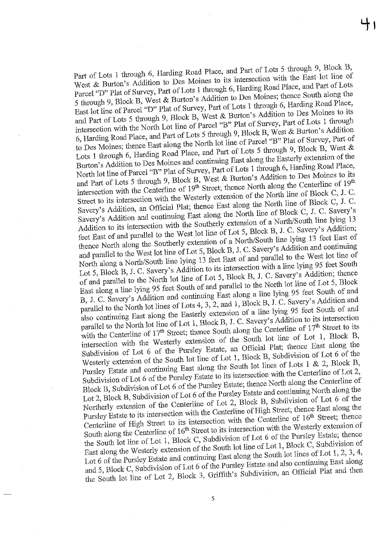Part of Lots 1 through 6, Harding Road Place, and Part of Lots 5 through 9, Block B, West & Burton's Addition to Des Moines to its intersection with the East lot line of Parcel "D" Plat of Survey, Part of Lots 1 through 6, Harding Road Place, and Part of Lots 5 through 9, Block B, West & Burton's Addition to Des Moines; thence South along the East lot line of Parcel "D" Plat of Survey, Part of Lots 1 through 6, Harding Road Place, and Part of Lots 5 through 9, Block B, West & Burton's Addition to Des Moines to its intersection with the North Lot line of Parcel "B" Plat of Survey, Part of Lots 1 through 6, Harding Road Place, and Part of Lots 5 through 9, Block B, West & Burton's Addition to Des Moines; thence East along the North lot line of Parcel "B" Plat of Survey, Part of Lots 1 through 6, Harding Road Place, and Part of Lots 5 through 9, Block B, West & Burton's Addition to Des Moines and continuing East along the Easterly extension of the North lot line of Parcel "B" Plat of Survey, Part of Lots 1 through 6, Harding Road Place, and Part of Lots 5 through 9, Block B, West & Burton's Addition to Des Moines to its intersection with the Centerline of  $19<sup>th</sup>$  Street; thence North along the Centerline of  $19<sup>th</sup>$ Street to its intersection with the Westerly extension of the North line of Block C, J. C. Savery's Addition, an Official Plat; thence East along the North line of Block C, J. C. Savery's Addition and continuing East along the North line of Block C, J. C. Savery's Addition to its intersection with the Southerly extension of a North/South line lying 13 feet East of and parallel to the West lot line of Lot 5, Block B, J. C. Savery's Addition; thence North along the Southerly extension of a North/South line lying 13 feet East of and parallel to the West lot line of Lot 5, Block B, J. C. Savery's Addition and continuing North along a North/South line lying 13 feet East of and parallel to the West lot line of Lot 5, Block B, J. C. Savery's Addition to its intersection with a line lying 95 feet South of and parallel to the North lot line of Lot 5, Block B, J. C. Savery's Addition; thence East along a line lying 95 feet South of and parallel to the North lot line of Lot 5, Block B, J. C. Savery's Addition and continuing East along a line lying 95 feet South of and parallel to the North lot lines of Lots 4, 3, 2, and 1, Block B, J. C. Savery's Addition and also continuing East along the Easterly extension of a line lying 95 feet South of and parallel to the North lot line of Lot 1, Block B, J. C. Savery's Addition to its intersection with the Centerline of 17<sup>th</sup> Street; thence South along the Centerline of 17<sup>th</sup> Street to its intersection with the Westerly extension of the South lot line of Lot 1, Block B, Subdivision of Lot 6 of the Pursley Estate, an Official Plat; thence East along the Westerly extension of the South lot line of Lot 1, Block B, Subdivision of Lot 6 of the Pursley Estate and continuing East along the South lot lines of Lots 1 & 2, Block B, Subdivision of Lot 6 of the Pursley Estate to its intersection with the Centerline of Lot 2, Block B, Subdivision of Lot 6 of the Pursley Estate; thence North along the Centerline of Lot 2, Block B, Subdivision of Lot 6 of the Pursley Estate and continuing North along the Northerly extension of the Centerline of Lot 2, Block B, Subdivision of Lot 6 of the Pursley Estate to its intersection with the Centerline of High Street; thence East along the Centerline of High Street to its intersection with the Centerline of  $16<sup>th</sup>$  Street; thence South along the Centerline of 16<sup>th</sup> Street to its intersection with the Westerly extension of the South lot line of Lot 1, Block C, Subdivision of Lot 6 of the Pursley Estate; thence East along the Westerly extension of the South lot line of Lot 1, Block C, Subdivision of Lot 6 of the Pursley Estate and continuing East along the South lot lines of Lot 1, 2, 3, 4, and 5, Block C, Subdivision of Lot 6 of the Pursley Estate and also continuing East along and  $\sigma$ , Block C, Subdivision, and Official Pure and the  $\sigma$  $\text{If } \text{point in } \mathbb{R}^d \to \mathbb{R}^d$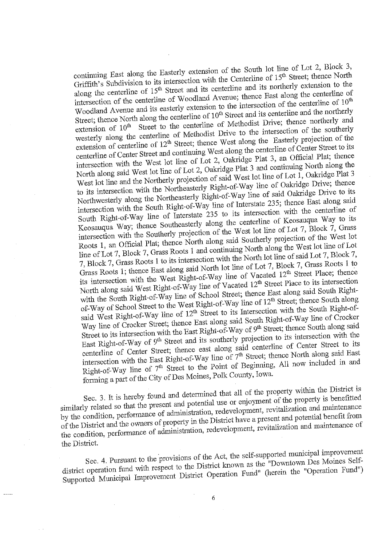continuing East along the Easterly extension of the South lot line of Lot 2, Block 3, Griffith's Subdivision to its intersection with the Centerline of 15<sup>th</sup> Street; thence North along the centerline of 15<sup>th</sup> Street and its centerline and its northerly extension to the intersection of the centerline of Woodland Avenue; thence East along the centerline of Woodland Avenue and its easterly extension to the intersection of the centerline of  $10^{th}$ Street; thence North along the centerline of  $10^{th}$  Street and its centerline and the northerly extension of 10<sup>th</sup> Street to the centerline of Methodist Drive; thence northerly and westerly along the centerline of Methodist Drive to the intersection of the southerly extension of centerline of 12<sup>th</sup> Street; thence West along the Easterly projection of the centerline of Center Street and continuing West along the centerline of Center Street to its intersection with the West lot line of Lot 2, Oakridge Plat 3, an Official Plat; thence North along said West lot line of Lot 2, Oakridge Plat 3 and continuing North along the West lot line and the Northerly projection of said West lot line of Lot  $1$ , Oakridge Plat 3 to its intersection with the Northeasterly Right-of-Way line of Oakridge Drive; thence Northwesterly along the Northeasterly Right-of-Way line of said Oakridge Drive to its intersection with the South Right-of-Way line of Interstate 235; thence East along said South Right-of-Way line of Interstate  $235$  to its intersection with the centerline of Keosauqua Way; thence Southeasterly along the centerline of Keosauqua Way to its intersection with the Southerly projection of the West lot line of Lot 7, Block 7, Grass Roots 1, an Official Plat; thence North along said Southerly projection of the West lot line of Lot 7, Block 7, Grass Roots 1 and continuing North along the West lot line of Lot 7, Block 7, Grass Roots 1 to its intersection with the North lot line of said Lot 7, Block 7, Grass Roots 1; thence East along said North lot line of Lot 7, Block 7, Grass Roots 1 to its intersection with the West Right-of-Way line of Vacated 12<sup>th</sup> Street Place; thence North along said West Right-of-Way line of Vacated 12<sup>th</sup> Street Place to its intersection with the South Right-of-Way line of School Street; thence East along said South Rightof-Way of School Street to the West Right-of-Way line of 12<sup>th</sup> Street; thence South along said West Right-of-Way line of 12<sup>th</sup> Street to its Intersection with the South Right-of-Way line of Crocker Street; thence East along said South Right-of-Way line of Crocker Street to its intersection with the East Right-of-Way of 9<sup>th</sup> Street; thence South along said East Right-of-Way of 9<sup>th</sup> Street and its southerly projection to its intersection with the centerline of Center Street; thence east along said centerline of Center Street to its contract of Center Street; thence North along said East intersection with the East Right-of-Way line of  $7<sup>th</sup>$  Street; thence North along said East Right-of-Way line of 7<sup>th</sup> Street to the Point of Beginning, All now included in and  $R_{\text{H}}$  and  $R_{\text{H}}$  integrating of  $\Omega$  Moines. Polk County, Iowa. fining a part of the Cify of  $\frac{1}{2}$ 

Sec. 3. It is hereby found and determined that all of the property within the District is similarly related so that the present and potential use or enjoyment of the property is benefitted by the condition, performance of administration, redevelopment, revitalization and maintenance of the District and the owners of property in the District have a present and potential benefit from t the District and the overall of edministration, redevelopment, revitalization and maillenance of the condition, performance of administration, redevelopment, redevelopment, redevelopment, reviewely

the District.<br>Sec. 4. Pursuant to the provisions of the Act, the self-supported municipal improvement district operation fund with respect to the District known as the "Downtown Des Moines Selfdistrict operation fund with respect to the District Operation Fund" (herein the "Operation Fund") Supported Municipal Improvement District Operation Fund" (herein the "Operation Fund")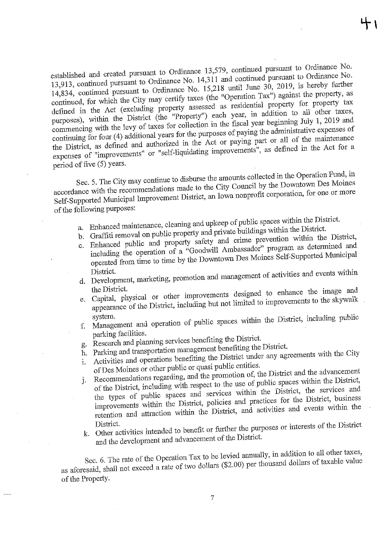established and created pursuant to Ordinance 13,579, continued pursuant to Ordinance No.<br>13,913, continued pursuant to Ordinance No. 14,311 and continued pursuant to Ordinance No. 14,834, continued pursuant to Ordinance No. 15,218 until June 30, 2019, is hereby further continued, for which the City may certify taxes (the "Operation Tax") against the property, as defined in the Act (excluding property assessed as residential property for property tax purposes), within the District (the "Property") each year, in addition to all other taxes, commencing with the levy of taxes for collection in the fiscal year beginning July 1, 2019 and continuing for four (4) additional years for the purposes of paying the administrative expenses of the District, as defined and authorized in the Act or paying part or all of the maintenance  $t$  District, as defined and defined  $\frac{t}{t}$  -the McI or paying part of the Act or all of the McI or paying part of the magnetic paying paying paying paying paying paying paying paying paying paying  $\frac{t}{t}$  and  $\frac{t}{$  $\frac{1000 \text{ N}}{1000 \text{ N}}$ 

period of five (5) years.<br>Sec. 5. The City may continue to disburse the amounts collected in the Operation Fund, in accordance with the recommendations made to the City Council by the Downtown Des Moines  $\alpha$  ance with the recommendations made to the City Council by the Council by the City Council by the Downtown  $\alpha$  Downtown  $\alpha$  Downtown  $\alpha$  Downtown  $\alpha$  Downtown  $\alpha$  Downtown  $\alpha$ Self-Supported M.unicipal Improvement District an Iowa nonprofit corporation, for one or more of the following purposes:<br>a. Enhanced maintenance, cleaning and upkeep of public spaces within the District.

- 
- b. Graffiti removal on public property and private buildings within the District.
- c. Enhanced public and property safety and crime prevention within the District,
- including the operation of a "Goodwill Ambassador" program as determined and futurity the operation of a "conduction" of a "conduction" program as Moines Self-Supported Municipal  $\sum_{i=1}^{n}$
- $\frac{1}{1}$ d. Development, marketing, promotion and management of activities and events within
- the District. Capital, physical or other improvements designed to enhance the image and Capital, physical or other  $\frac{1}{\epsilon}$  including but not limited to improvements to the skywalk  $\alpha$  and  $\alpha$  is  $\alpha$  including but not limited to improvements to the slccit state to the slccit state slccit state slccit state slccit state slccit state slccit state slccit state slccit state slccit state slccit state
- $\sum_{i=1}^n$ f. Management and operation of public spaces within the District, including public
- parking facilities.<br>Research and planning services benefiting the District.
- g. Research and planning services benefiting the District.<br>h. Parking and transportation management benefiting the District.
- Activities and operations benefiting the District under any agreements with the City
- i. of Des Moines or other public or quasi public entities.
- Recommendations regarding, and the promotion of, the District and the advancement j. Recommendations regarding, and the promotion of, the District and the District, of the District, including with respect to the use of public spaces within the District, the types of public spaces and services within the District, the services and improvements within the District, policies and practices for the District, business improvements within the District, and activities and events within the retention and attraction within the District, and activities and events witfah. the
- District.  $k_{\text{tot}}$ . Out activities interests or further the purpose of the District.

and the development and advancement of the District.<br>Sec. 6. The rate of the Operation Tax to be levied annually, in addition to all other taxes,  $\frac{\text{SEC}}{\text{SEC}}$  6. The rate of the Operation Tax to be level and  $\frac{\text{S2.00}}{\text{S2.00}}$  be thousand dollars of taxable value  $\alpha$  aforesaid, shall not exceed  $\alpha$  rate of two dollars of taxable values of taxable values of taxable values of taxable values of taxable values of taxable values of taxable values of taxable values of taxable values o of the Property.